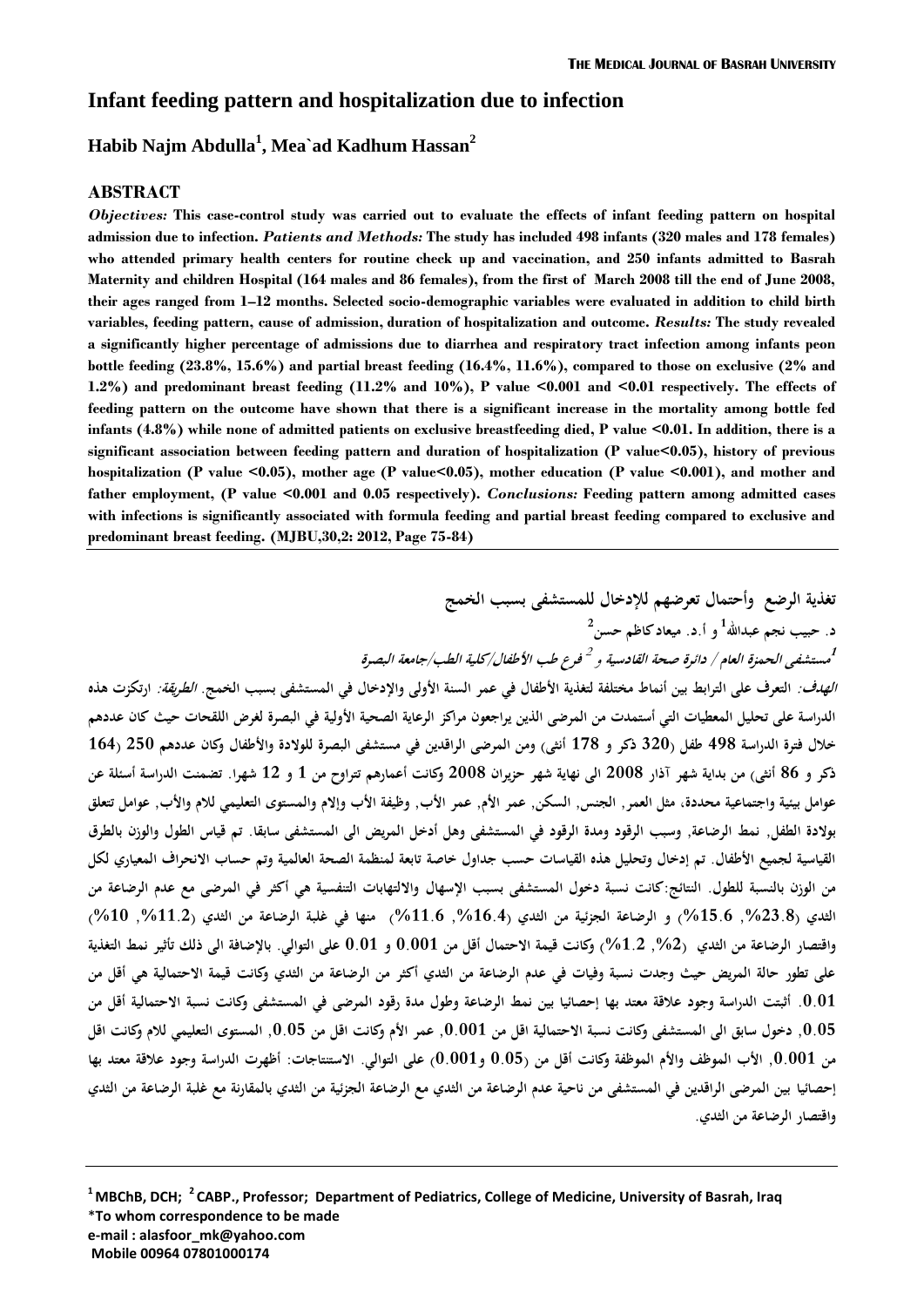### **Infant feeding pattern and hospitalization due to infection**

## **Habib Najm Abdulla<sup>1</sup> , Mea`ad Kadhum Hassan<sup>2</sup>**

#### **ABSTRACT**

*Objectives:* **This case-control study was carried out to evaluate the effects of infant feeding pattern on hospital admission due to infection.** *Patients and Methods:* **The study has included 498 infants (320 males and 178 females) who attended primary health centers for routine check up and vaccination, and 250 infants admitted to Basrah Maternity and children Hospital (164 males and 86 females), from the first of March 2008 till the end of June 2008, their ages ranged from 1–12 months. Selected socio-demographic variables were evaluated in addition to child birth variables, feeding pattern, cause of admission, duration of hospitalization and outcome.** *Results:* **The study revealed a significantly higher percentage of admissions due to diarrhea and respiratory tract infection among infants peon bottle feeding (23.8%, 15.6%) and partial breast feeding (16.4%, 11.6%), compared to those on exclusive (2% and 1.2%) and predominant breast feeding (11.2% and 10%), P value <0.001 and <0.01 respectively. The effects of feeding pattern on the outcome have shown that there is a significant increase in the mortality among bottle fed infants (4.8%) while none of admitted patients on exclusive breastfeeding died, P value <0.01. In addition, there is a significant association between feeding pattern and duration of hospitalization (P value<0.05), history of previous hospitalization (P value <0.05), mother age (P value<0.05), mother education (P value <0.001), and mother and father employment, (P value <0.001 and 0.05 respectively).** *Conclusions:* **Feeding pattern among admitted cases with infections is significantly associated with formula feeding and partial breast feeding compared to exclusive and predominant breast feeding. (MJBU,30,2: 2012, Page 75-84)**

> **تغذية الرضع وأحتمال تعرضهم لإلدخال للمستشفى بسبب الخمج** د. حبيب نجم عبدالله<sup>1</sup>و أ.د. ميعاد كاظم حسن<sup>2</sup> **1 مستشفى الحمزة العام / دائرة صحة القادسية** <sup>و</sup> 2 **فرع طب األطفال/كلية الطب/جامعة البصرة**

**الهدف: التعرف على الترابط بين أنماط مختلفة لتغذية األطفال في عمر السنة األولى واإلدخال في المستشفى بسبب الخمج. الطريقة: ارتكزت هذه الدراسة على تحليل المعطيات التي أستمدت من المرضى الذين يراجعون مراكز الرعاية الصحية األولية في البصرة لغرض اللقحات حيث كان عددهم خالل فترة الدراسة 894 طفل )023 ذكر و 174 أنثى( ومن المرضى الراقدين في مستشفى البصرة للوالدة واألطفال وكان عددهم 253 )168 ذكر و 46 أنثى( من بداية شهر آذار 2334 الى نهاية شهر حزيران 2334 وكانت أعمارهم تتراوح من 1 و 12 شهرا. تضمنت الدراسة أسئلة عن عوامل بيئية واجتماعية محددة، مثل العمر, الجنس, السكن, عمر األم, عمر األب, وظيفة األب وإالم والمستوى التعليمي لالم واألب, عوامل تتعلق بوالدة الطفل, نمط الرضاعة, وسبب الرقود ومدة الرقود في المستشفى وهل أدخل المريض الى المستشفى سابقا. تم قياس الطول والوزن بالطرق القياسية لجميع األطفال. تم إدخال وتحليل هذه القياسات حسب جداول خاصة تابعة لمنظمة الصحة العالمية وتم حساب االنحراف المعياري لكل من الوزن بالنسبة للطول. النتائج:كانت نسبة دخول المستشفى بسبب اإلسهال وااللتهابات التنفسية هي أكثر في المرضى مع عدم الرضاعة من الثدي ),%20.4 %15.6( و الرضاعة الجزئية من الثدي ),%16.8 %11.6( منها في غلبة الرضاعة من الثدي ),%11.2 %13( واقتصار الرضاعة من الثدي ),%2 %1.2( وكانت قيمة االحتمال أقل من 3.331 و 3.31 على التوالي. باإلضافة الى ذلك تأثير نمط التغذية على تطور حالة المريض حيث وجدت نسبة وفيات في عدم الرضاعة من الثدي أكثر من الرضاعة من الثدي وكانت قيمة االحتمالية هي أقل من .3.31 أثبتت الدراسة وجود عالقة معتد بها إحصائيا بين نمط الرضاعة وطول مدة رقود المرضى في المستشفى وكانت نسبة االحتمالية أقل من ,3.35 دخول سابق الى المستشفى وكانت نسبة االحتمالية اقل من ,3.331 عمر األم وكانت اقل من ,3.35 المستوى التعليمي لالم وكانت اقل من ,3.331 األب الموظف واألم الموظفة وكانت أقل من )3.35 و3.331( على التوالي. االستنتاجات: أظهرت الدراسة وجود عالقة معتد بها إحصائيا بين المرضى الراقدين في المستشفى من ناحية عدم الرضاعة من الثدي مع الرضاعة الجزئية من الثدي بالمقارنة مع غلبة الرضاعة من الثدي واقتصار الرضاعة من الثدي.**

**<sup>1</sup>MBChB, DCH; <sup>2</sup>CABP., Professor; Department of Pediatrics, College of Medicine, University of Basrah, Iraq** \***To whom correspondence to be made e-mail : alasfoor\_mk@yahoo.com Mobile 00964 07801000174**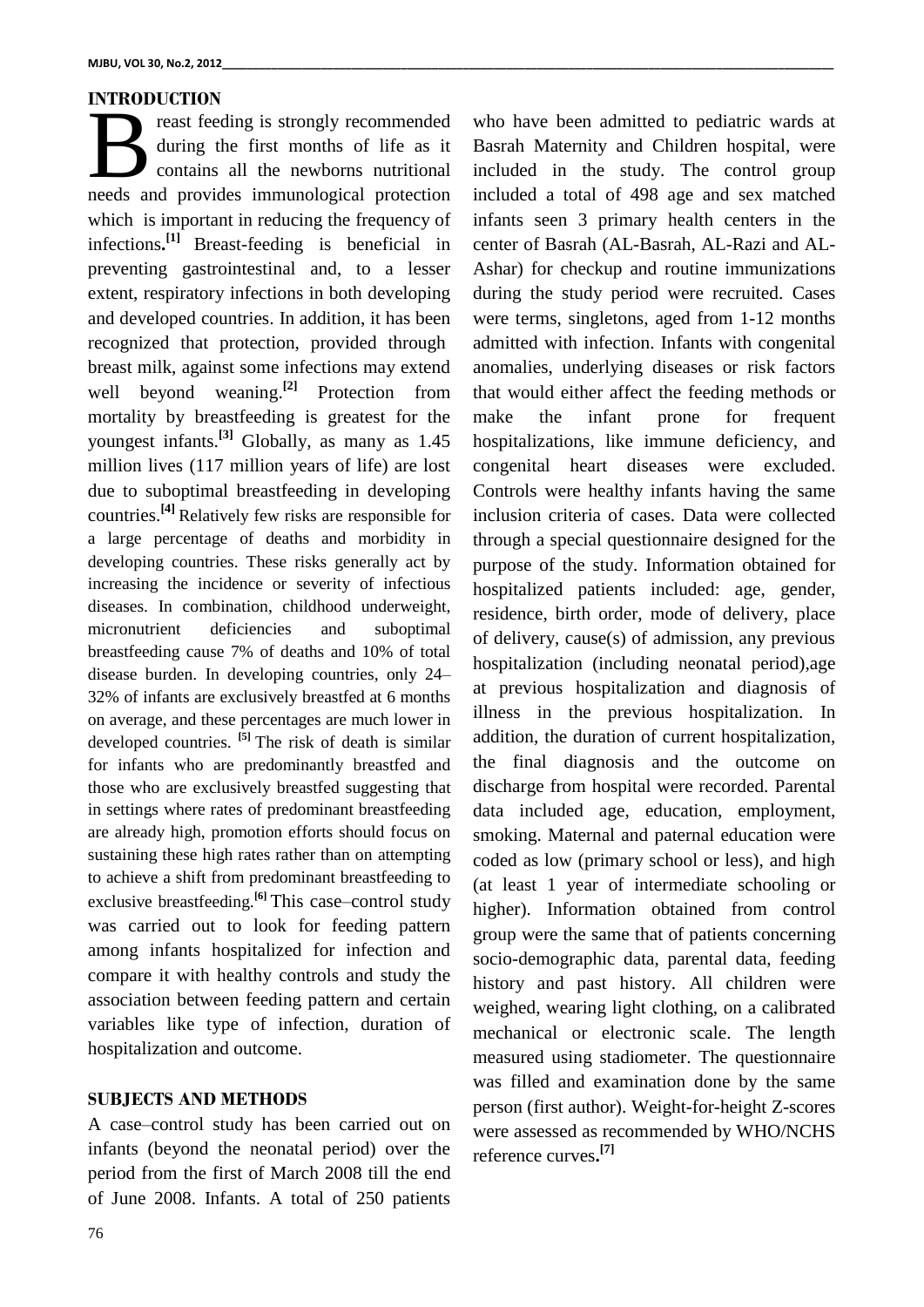### **INTRODUCTION**

reast feeding is strongly recommended during the first months of life as it contains all the newborns nutritional The present feeding is strongly recommended<br>during the first months of life as it<br>contains all the newborns nutritional<br>needs and provides immunological protection which is important in reducing the frequency of infections**. [1]** Breast-feeding is beneficial in preventing gastrointestinal and, to a lesser extent, respiratory infections in both developing and developed countries. In addition, it has been recognized that protection, provided through breast milk, against some infections may extend well beyond weaning.**[2]** Protection from mortality by breastfeeding is greatest for the youngest infants.**[3]** Globally, as many as 1.45 million lives (117 million years of life) are lost due to suboptimal breastfeeding in developing countries. **[4]** Relatively few risks are responsible for a large percentage of deaths and morbidity in developing countries. These risks generally act by increasing the incidence or severity of infectious diseases. In combination, childhood underweight, micronutrient deficiencies and suboptimal breastfeeding cause 7% of deaths and 10% of total disease burden. In developing countries, only 24– 32% of infants are exclusively breastfed at 6 months on average, and these percentages are much lower in developed countries. **[5]** The risk of death is similar for infants who are predominantly breastfed and those who are exclusively breastfed suggesting that in settings where rates of predominant breastfeeding are already high, promotion efforts should focus on sustaining these high rates rather than on attempting to achieve a shift from predominant breastfeeding to exclusive breastfeeding.**[6]** This case–control study was carried out to look for feeding pattern among infants hospitalized for infection and compare it with healthy controls and study the association between feeding pattern and certain variables like type of infection, duration of hospitalization and outcome.

### **SUBJECTS AND METHODS**

A case–control study has been carried out on infants (beyond the neonatal period) over the period from the first of March 2008 till the end of June 2008. Infants. A total of 250 patients

who have been admitted to pediatric wards at Basrah Maternity and Children hospital, were included in the study. The control group included a total of 498 age and sex matched infants seen 3 primary health centers in the center of Basrah (AL-Basrah, AL-Razi and AL-Ashar) for checkup and routine immunizations during the study period were recruited. Cases were terms, singletons, aged from 1-12 months admitted with infection. Infants with congenital anomalies, underlying diseases or risk factors that would either affect the feeding methods or make the infant prone for frequent hospitalizations, like immune deficiency, and congenital heart diseases were excluded. Controls were healthy infants having the same inclusion criteria of cases. Data were collected through a special questionnaire designed for the purpose of the study. Information obtained for hospitalized patients included: age, gender, residence, birth order, mode of delivery, place of delivery, cause(s) of admission, any previous hospitalization (including neonatal period),age at previous hospitalization and diagnosis of illness in the previous hospitalization. In addition, the duration of current hospitalization, the final diagnosis and the outcome on discharge from hospital were recorded. Parental data included age, education, employment, smoking. Maternal and paternal education were coded as low (primary school or less), and high (at least 1 year of intermediate schooling or higher). Information obtained from control group were the same that of patients concerning socio-demographic data, parental data, feeding history and past history. All children were weighed, wearing light clothing, on a calibrated mechanical or electronic scale. The length measured using stadiometer. The questionnaire was filled and examination done by the same person (first author). Weight-for-height Z-scores were assessed as recommended by WHO/NCHS reference curves**. [7]**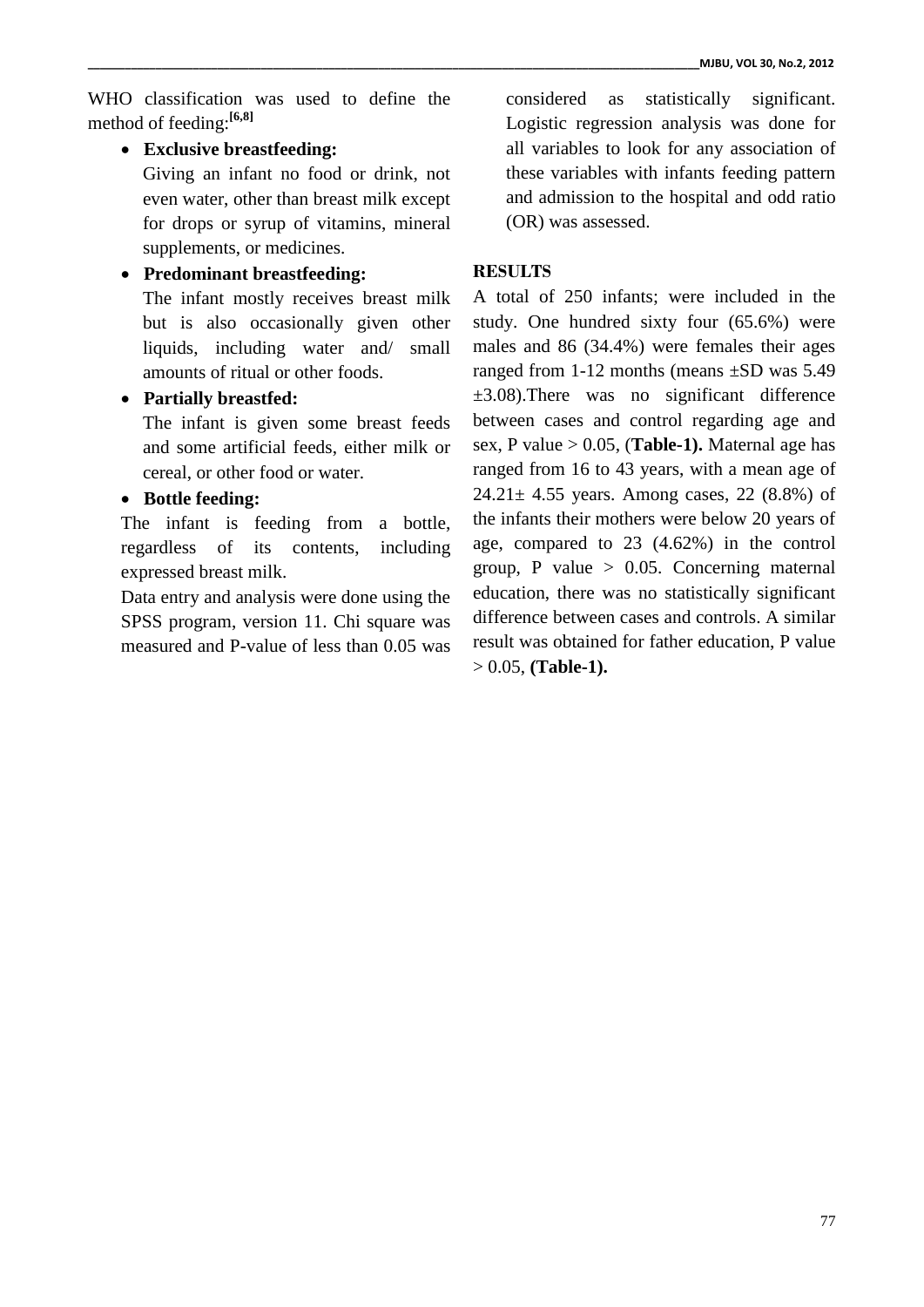WHO classification was used to define the method of feeding:**[6,8]**

### **Exclusive breastfeeding:**

Giving an infant no food or drink, not even water, other than breast milk except for drops or syrup of vitamins, mineral supplements, or medicines.

#### **Predominant breastfeeding:**

The infant mostly receives breast milk but is also occasionally given other liquids, including water and/ small amounts of ritual or other foods.

#### **Partially breastfed:**

The infant is given some breast feeds and some artificial feeds, either milk or cereal, or other food or water.

### **Bottle feeding:**

The infant is feeding from a bottle, regardless of its contents, including expressed breast milk.

Data entry and analysis were done using the SPSS program, version 11. Chi square was measured and P-value of less than 0.05 was considered as statistically significant. Logistic regression analysis was done for all variables to look for any association of these variables with infants feeding pattern and admission to the hospital and odd ratio (OR) was assessed.

### **RESULTS**

A total of 250 infants; were included in the study. One hundred sixty four (65.6%) were males and 86 (34.4%) were females their ages ranged from 1-12 months (means ±SD was 5.49  $\pm 3.08$ ). There was no significant difference between cases and control regarding age and sex, P value > 0.05, (**Table-1).** Maternal age has ranged from 16 to 43 years, with a mean age of  $24.21 \pm 4.55$  years. Among cases, 22 (8.8%) of the infants their mothers were below 20 years of age, compared to 23 (4.62%) in the control group, P value  $> 0.05$ . Concerning maternal education, there was no statistically significant difference between cases and controls. A similar result was obtained for father education, P value > 0.05, **(Table-1).**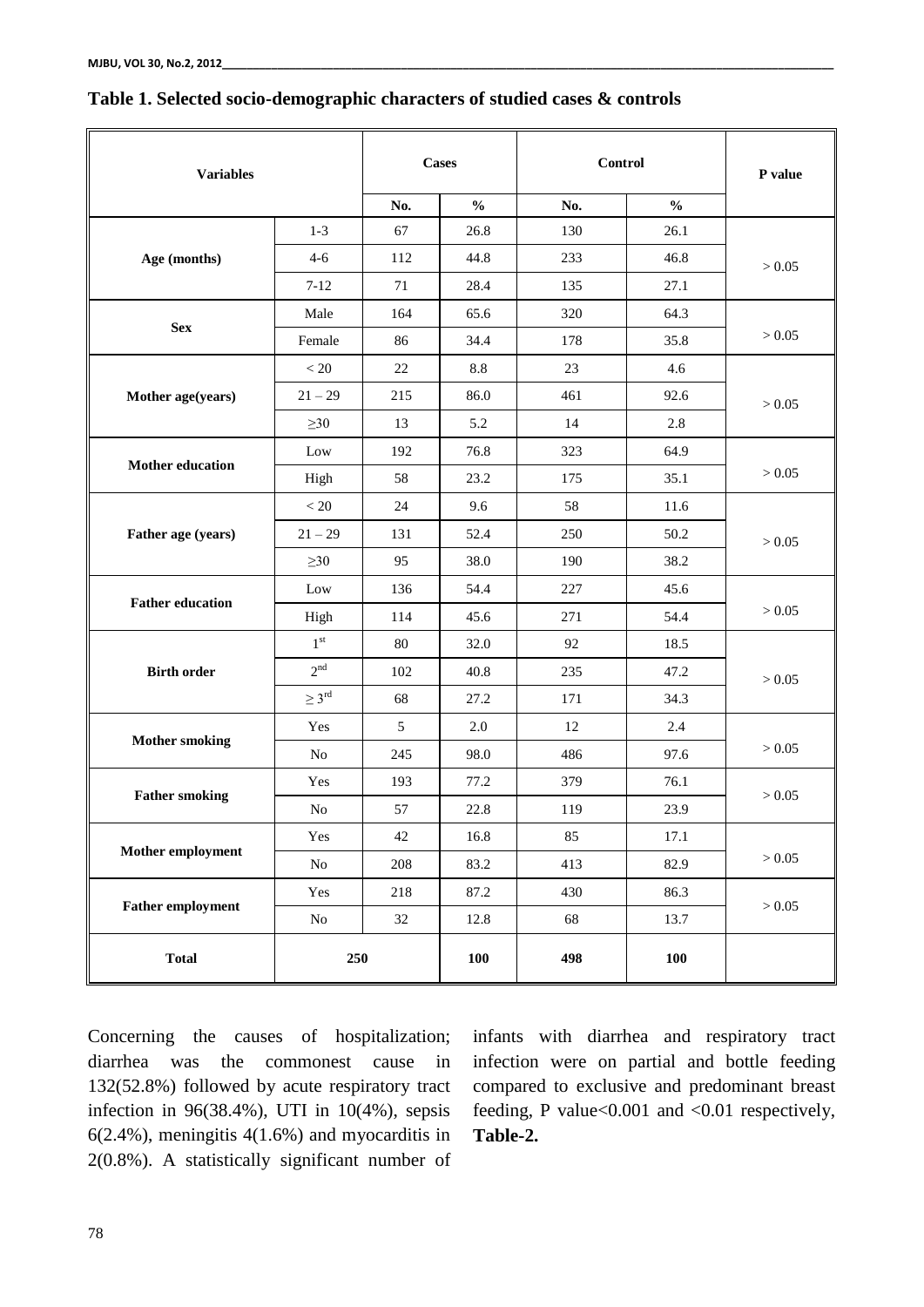| <b>Variables</b>         |                   | <b>Cases</b>  |            | <b>Control</b> | P value     |         |  |
|--------------------------|-------------------|---------------|------------|----------------|-------------|---------|--|
|                          | No.               | $\frac{0}{0}$ | No.        | $\frac{0}{0}$  |             |         |  |
|                          | $1-3$             | 67            | 26.8       | 130            | 26.1        |         |  |
| Age (months)             | $4-6$             | 112           | 44.8       | 233            | 46.8        | > 0.05  |  |
|                          | $7 - 12$          | 71            | 28.4       | 135            | 27.1        |         |  |
| <b>Sex</b>               | Male              | 164           | 65.6       | 320            | 64.3        |         |  |
|                          | Female            | 86            | 34.4       | 178            | 35.8        | > 0.05  |  |
|                          | $< 20$            | 22            | 8.8        | 23             | 4.6         |         |  |
| Mother age(years)        | $21 - 29$         | 215           | 86.0       | 461            | 92.6        | > 0.05  |  |
|                          | $\geq 30$         | 13            | 5.2        | 14             | 2.8         |         |  |
|                          | Low               | 192           | 76.8       | 323            | 64.9        |         |  |
| <b>Mother education</b>  | High              | 58            | 23.2       | 175            | 35.1        | > 0.05  |  |
| Father age (years)       | $< 20$            | 24            | 9.6        | 58             | 11.6        | > 0.05  |  |
|                          | $21 - 29$         | 131           | 52.4       | 250            | 50.2        |         |  |
|                          | $\geq 30$         | 95            | 38.0       | 190            | 38.2        |         |  |
|                          | Low               | 136           | 54.4       | 227            | 45.6        |         |  |
| <b>Father education</b>  | High              | 114           | 45.6       | 271            | 54.4        | > 0.05  |  |
|                          | 1 <sup>st</sup>   | 80            | 32.0       | 92             | 18.5        |         |  |
| <b>Birth order</b>       | 2 <sup>nd</sup>   | 102           | 40.8       | 235            | 47.2        | > 0.05  |  |
|                          | $\geq 3^{\rm rd}$ | 68            | 27.2       | 171            | 34.3        |         |  |
|                          | Yes               | 5             | 2.0        | 12             | 2.4         |         |  |
| <b>Mother smoking</b>    | No                | 245           | 98.0       | 486            | 97.6        | > 0.05  |  |
|                          | Yes               | 193           | 77.2       | 379            | 76.1        |         |  |
| <b>Father smoking</b>    | No                | 57            | 22.8       | 119            | 23.9        | > 0.05  |  |
|                          | Yes               | 42            | 16.8       | 85             | 17.1        |         |  |
| Mother employment        | No                | 208           | 83.2       | 413            | 82.9        | > 0.05  |  |
| <b>Father employment</b> | Yes               | 218           | 87.2       | 430            | 86.3        |         |  |
|                          | $\rm No$          | 32            | 12.8       | 68             | 13.7        | $>0.05$ |  |
| <b>Total</b>             | 250               |               | <b>100</b> | 498            | ${\bf 100}$ |         |  |

### **Table 1. Selected socio-demographic characters of studied cases & controls**

Concerning the causes of hospitalization; diarrhea was the commonest cause in 132(52.8%) followed by acute respiratory tract infection in 96(38.4%), UTI in 10(4%), sepsis 6(2.4%), meningitis 4(1.6%) and myocarditis in 2(0.8%). A statistically significant number of infants with diarrhea and respiratory tract infection were on partial and bottle feeding compared to exclusive and predominant breast feeding, P value<0.001 and <0.01 respectively, **Table-2.**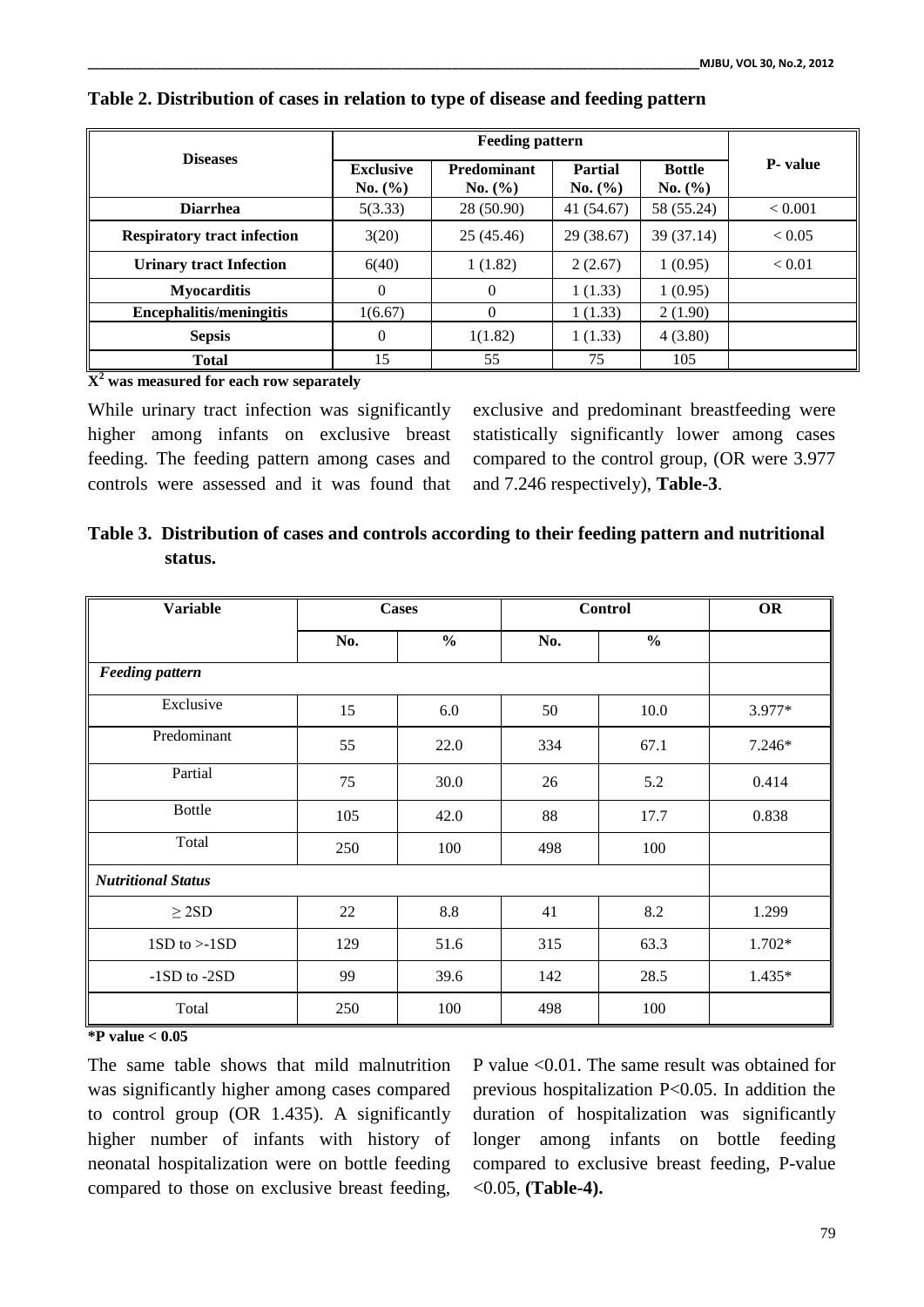| <b>Diseases</b>                    | <b>Exclusive</b><br>No. (%) | <b>Predominant</b><br>No. (%) | <b>Partial</b><br>No. (%) | <b>Bottle</b><br>No. (%) | <b>P</b> - value |
|------------------------------------|-----------------------------|-------------------------------|---------------------------|--------------------------|------------------|
| <b>Diarrhea</b>                    | 5(3.33)                     | 28 (50.90)                    | 41 (54.67)                | 58 (55.24)               | < 0.001          |
| <b>Respiratory tract infection</b> | 3(20)                       | 25 (45.46)                    | 29 (38.67)                | 39 (37.14)               | < 0.05           |
| <b>Urinary tract Infection</b>     | 6(40)                       | 1(1.82)                       | 2(2.67)                   | 1(0.95)                  | ${}< 0.01$       |
| <b>Myocarditis</b>                 | $\theta$                    | $\theta$                      | 1(1.33)                   | 1(0.95)                  |                  |
| <b>Encephalitis/meningitis</b>     | 1(6.67)                     | $\theta$                      | 1(1.33)                   | 2(1.90)                  |                  |
| <b>Sepsis</b>                      | $\theta$                    | 1(1.82)                       | 1(1.33)                   | 4(3.80)                  |                  |
| <b>Total</b>                       | 15                          | 55                            | 75                        | 105                      |                  |

#### **Table 2. Distribution of cases in relation to type of disease and feeding pattern**

**X <sup>2</sup> was measured for each row separately**

While urinary tract infection was significantly higher among infants on exclusive breast feeding. The feeding pattern among cases and controls were assessed and it was found that exclusive and predominant breastfeeding were statistically significantly lower among cases compared to the control group, (OR were 3.977 and 7.246 respectively), **Table-3**.

| Table 3. Distribution of cases and controls according to their feeding pattern and nutritional |
|------------------------------------------------------------------------------------------------|
| status.                                                                                        |

| <b>Variable</b>           | <b>Cases</b> |               | <b>Control</b> | OR            |          |
|---------------------------|--------------|---------------|----------------|---------------|----------|
|                           | No.          | $\frac{0}{0}$ | No.            | $\frac{0}{0}$ |          |
| <b>Feeding pattern</b>    |              |               |                |               |          |
| Exclusive                 | 15           | 6.0           | 50             | 10.0          | 3.977*   |
| Predominant               | 55           | 22.0          | 334            | 67.1          | 7.246*   |
| Partial                   | 75           | 30.0          | 26             | 5.2           | 0.414    |
| <b>Bottle</b>             | 105          | 42.0          | 88             | 17.7          | 0.838    |
| Total                     | 250          | 100           | 498            | 100           |          |
| <b>Nutritional Status</b> |              |               |                |               |          |
| $\geq$ 2SD                | 22           | 8.8           | 41             | 8.2           | 1.299    |
| $1SD$ to $>1SD$           | 129          | 51.6          | 315            | 63.3          | $1.702*$ |
| -1SD to -2SD              | 99           | 39.6          | 142            | 28.5          | $1.435*$ |
| Total                     | 250          | 100           | 498            | 100           |          |

#### **\*P value < 0.05**

The same table shows that mild malnutrition was significantly higher among cases compared to control group (OR 1.435). A significantly higher number of infants with history of neonatal hospitalization were on bottle feeding compared to those on exclusive breast feeding, P value <0.01. The same result was obtained for previous hospitalization P<0.05. In addition the duration of hospitalization was significantly longer among infants on bottle feeding compared to exclusive breast feeding, P-value <0.05, **(Table-4).**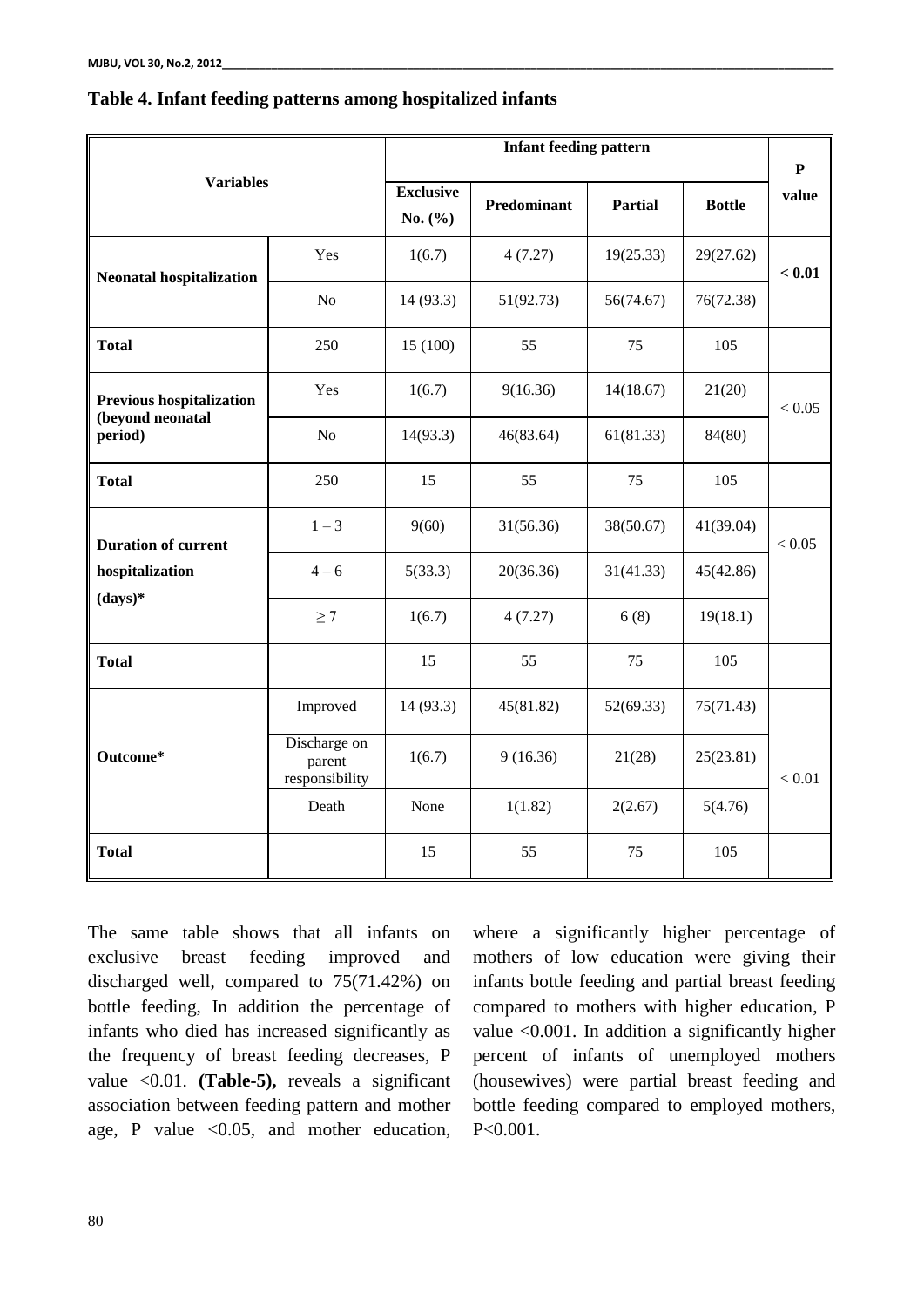|                                 |                                          | <b>Infant feeding pattern</b> |                |               |                       |        |  |  |
|---------------------------------|------------------------------------------|-------------------------------|----------------|---------------|-----------------------|--------|--|--|
| <b>Variables</b>                | <b>Exclusive</b><br>No. $(\% )$          | Predominant                   | <b>Partial</b> | <b>Bottle</b> | $\mathbf{P}$<br>value |        |  |  |
| <b>Neonatal hospitalization</b> | Yes                                      | 1(6.7)                        | 4(7.27)        | 19(25.33)     | 29(27.62)             | < 0.01 |  |  |
|                                 | N <sub>o</sub>                           | 14 (93.3)                     | 51(92.73)      | 56(74.67)     | 76(72.38)             |        |  |  |
| <b>Total</b>                    | 250                                      | 15 (100)                      | 55             | 75            | 105                   |        |  |  |
| <b>Previous hospitalization</b> | Yes                                      | 1(6.7)                        | 9(16.36)       | 14(18.67)     | 21(20)                | < 0.05 |  |  |
| (beyond neonatal<br>period)     | N <sub>o</sub>                           | 14(93.3)                      | 46(83.64)      | 61(81.33)     | 84(80)                |        |  |  |
| <b>Total</b>                    | 250                                      | 15                            | 55             | 75            | 105                   |        |  |  |
| <b>Duration of current</b>      | $1 - 3$                                  | 9(60)                         | 31(56.36)      | 38(50.67)     | 41(39.04)             | < 0.05 |  |  |
| hospitalization                 | $4 - 6$                                  | 5(33.3)                       | 20(36.36)      | 31(41.33)     | 45(42.86)             |        |  |  |
| $(days)*$                       | $\geq 7$                                 | 1(6.7)                        | 4(7.27)        | 6(8)          | 19(18.1)              |        |  |  |
| <b>Total</b>                    |                                          | 15                            | 55             | 75            | 105                   |        |  |  |
|                                 | Improved                                 | 14 (93.3)                     | 45(81.82)      | 52(69.33)     | 75(71.43)             |        |  |  |
| Outcome*                        | Discharge on<br>parent<br>responsibility | 1(6.7)                        | 9(16.36)       | 21(28)        | 25(23.81)             | < 0.01 |  |  |
|                                 | Death                                    | None                          | 1(1.82)        | 2(2.67)       | 5(4.76)               |        |  |  |
| <b>Total</b>                    |                                          | 15                            | 55             | 75            | 105                   |        |  |  |

#### **Table 4. Infant feeding patterns among hospitalized infants**

The same table shows that all infants on exclusive breast feeding improved and discharged well, compared to 75(71.42%) on bottle feeding, In addition the percentage of infants who died has increased significantly as the frequency of breast feeding decreases, P value <0.01. **(Table-5),** reveals a significant association between feeding pattern and mother age, P value  $\leq 0.05$ , and mother education, where a significantly higher percentage of mothers of low education were giving their infants bottle feeding and partial breast feeding compared to mothers with higher education, P value <0.001. In addition a significantly higher percent of infants of unemployed mothers (housewives) were partial breast feeding and bottle feeding compared to employed mothers, P<0.001.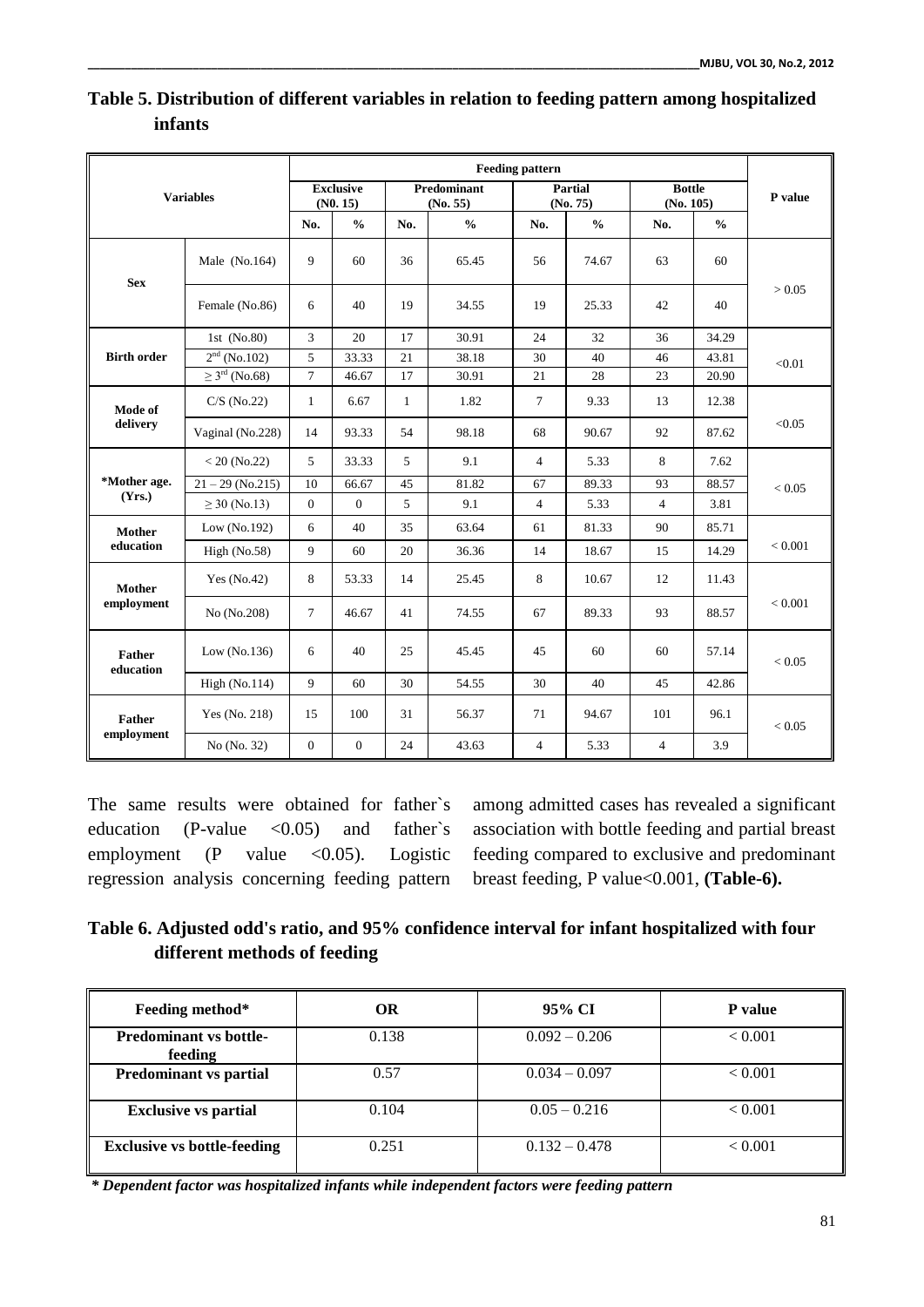|                            |                       | <b>Feeding pattern</b>      |               |                                |               |                            |               |                            |               |            |
|----------------------------|-----------------------|-----------------------------|---------------|--------------------------------|---------------|----------------------------|---------------|----------------------------|---------------|------------|
| <b>Variables</b>           |                       | <b>Exclusive</b><br>(N0.15) |               | <b>Predominant</b><br>(No. 55) |               | <b>Partial</b><br>(No. 75) |               | <b>Bottle</b><br>(No. 105) |               | P value    |
|                            |                       | No.                         | $\frac{0}{0}$ | No.                            | $\frac{0}{0}$ | No.                        | $\frac{0}{0}$ | No.                        | $\frac{0}{0}$ |            |
| <b>Sex</b>                 | Male $(No.164)$       | 9                           | 60            | 36                             | 65.45         | 56                         | 74.67         | 63                         | 60            |            |
|                            | Female (No.86)        | 6                           | 40            | 19                             | 34.55         | 19                         | 25.33         | 42                         | 40            | > 0.05     |
|                            | 1st (No.80)           | 3                           | 20            | 17                             | 30.91         | 24                         | 32            | 36                         | 34.29         |            |
| <b>Birth order</b>         | $2nd$ (No.102)        | 5                           | 33.33         | 21                             | 38.18         | 30                         | 40            | 46                         | 43.81         | < 0.01     |
|                            | $\geq 3^{rd}$ (No.68) | $\overline{7}$              | 46.67         | 17                             | 30.91         | 21                         | 28            | 23                         | 20.90         |            |
| Mode of                    | $C/S$ (No.22)         | 1                           | 6.67          | $\mathbf{1}$                   | 1.82          | 7                          | 9.33          | 13                         | 12.38         |            |
| delivery                   | Vaginal (No.228)      | 14                          | 93.33         | 54                             | 98.18         | 68                         | 90.67         | 92                         | 87.62         | < 0.05     |
|                            | $< 20$ (No.22)        | 5                           | 33.33         | 5                              | 9.1           | $\overline{4}$             | 5.33          | 8                          | 7.62          |            |
| *Mother age.               | $21 - 29$ (No.215)    | 10                          | 66.67         | 45                             | 81.82         | 67                         | 89.33         | 93                         | 88.57         | ${}< 0.05$ |
| (Yrs.)                     | $\geq$ 30 (No.13)     | $\overline{0}$              | $\mathbf{0}$  | 5                              | 9.1           | 4                          | 5.33          | $\overline{4}$             | 3.81          |            |
| <b>Mother</b>              | Low (No.192)          | 6                           | 40            | 35                             | 63.64         | 61                         | 81.33         | 90                         | 85.71         |            |
| education                  | High $(No.58)$        | 9                           | 60            | 20                             | 36.36         | 14                         | 18.67         | 15                         | 14.29         | < 0.001    |
| <b>Mother</b>              | Yes $(No.42)$         | 8                           | 53.33         | 14                             | 25.45         | 8                          | 10.67         | 12                         | 11.43         |            |
| employment                 | No (No.208)           | $\tau$                      | 46.67         | 41                             | 74.55         | 67                         | 89.33         | 93                         | 88.57         | < 0.001    |
| <b>Father</b><br>education | Low $(No.136)$        | 6                           | 40            | 25                             | 45.45         | 45                         | 60            | 60                         | 57.14         | < 0.05     |
|                            | High (No.114)         | 9                           | 60            | 30                             | 54.55         | 30                         | 40            | 45                         | 42.86         |            |
| <b>Father</b>              | Yes (No. 218)         | 15                          | 100           | 31                             | 56.37         | 71                         | 94.67         | 101                        | 96.1          | < 0.05     |
| employment                 | No (No. 32)           | $\overline{0}$              | $\mathbf{0}$  | 24                             | 43.63         | $\overline{4}$             | 5.33          | $\overline{4}$             | 3.9           |            |

# **Table 5. Distribution of different variables in relation to feeding pattern among hospitalized infants**

The same results were obtained for father`s education (P-value  $\langle 0.05 \rangle$  and father's employment (P value <0.05). Logistic regression analysis concerning feeding pattern among admitted cases has revealed a significant association with bottle feeding and partial breast feeding compared to exclusive and predominant breast feeding, P value<0.001, **(Table-6).**

# **Table 6. Adjusted odd's ratio, and 95% confidence interval for infant hospitalized with four different methods of feeding**

| Feeding method*                          | OR    | 95% CI          | <b>P</b> value |
|------------------------------------------|-------|-----------------|----------------|
| <b>Predominant vs bottle-</b><br>feeding | 0.138 | $0.092 - 0.206$ | < 0.001        |
| <b>Predominant vs partial</b>            | 0.57  | $0.034 - 0.097$ | < 0.001        |
| <b>Exclusive vs partial</b>              | 0.104 | $0.05 - 0.216$  | < 0.001        |
| <b>Exclusive vs bottle-feeding</b>       | 0.251 | $0.132 - 0.478$ | < 0.001        |

*\* Dependent factor was hospitalized infants while independent factors were feeding pattern*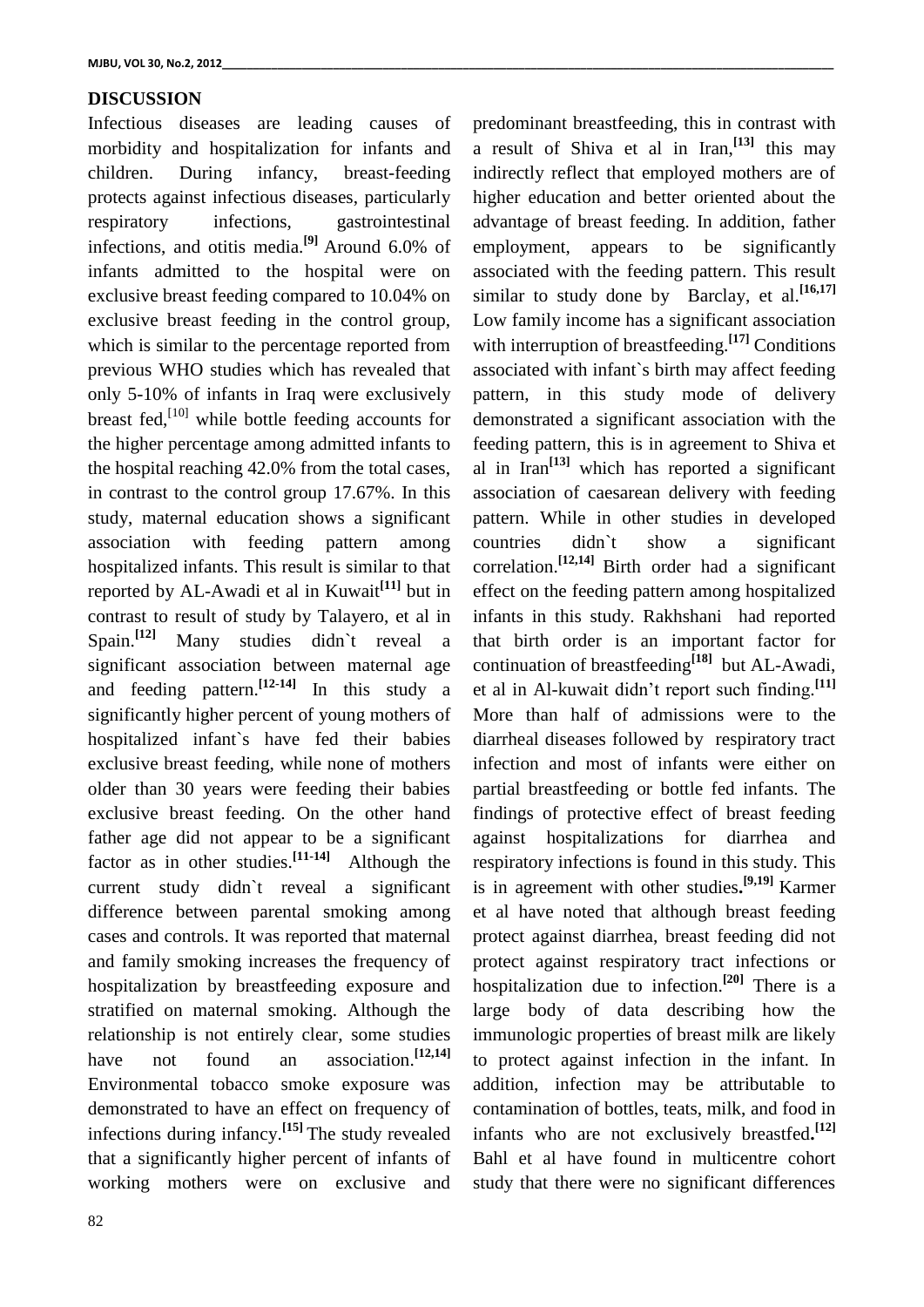## **DISCUSSION**

Infectious diseases are leading causes of morbidity and hospitalization for infants and children. During infancy, breast-feeding protects against infectious diseases, particularly respiratory infections, gastrointestinal infections, and otitis media.**[9]** Around 6.0% of infants admitted to the hospital were on exclusive breast feeding compared to 10.04% on exclusive breast feeding in the control group, which is similar to the percentage reported from previous WHO studies which has revealed that only 5-10% of infants in Iraq were exclusively breast fed, $^{[10]}$  while bottle feeding accounts for the higher percentage among admitted infants to the hospital reaching 42.0% from the total cases, in contrast to the control group 17.67%. In this study, maternal education shows a significant association with feeding pattern among hospitalized infants. This result is similar to that reported by AL-Awadi et al in Kuwait**[11]** but in contrast to result of study by Talayero, et al in Spain.**[12]** Many studies didn`t reveal a significant association between maternal age and feeding pattern.**[12-14]** In this study a significantly higher percent of young mothers of hospitalized infant`s have fed their babies exclusive breast feeding, while none of mothers older than 30 years were feeding their babies exclusive breast feeding. On the other hand father age did not appear to be a significant factor as in other studies.**[11-14]** Although the current study didn`t reveal a significant difference between parental smoking among cases and controls. It was reported that maternal and family smoking increases the frequency of hospitalization by breastfeeding exposure and stratified on maternal smoking. Although the relationship is not entirely clear, some studies have not found an association.<sup>[12,14]</sup> Environmental tobacco smoke exposure was demonstrated to have an effect on frequency of infections during infancy.**[15]** The study revealed that a significantly higher percent of infants of working mothers were on exclusive and

a result of Shiva et al in Iran,**[13]** this may indirectly reflect that employed mothers are of higher education and better oriented about the advantage of breast feeding. In addition, father employment, appears to be significantly associated with the feeding pattern. This result similar to study done by Barclay, et al.<sup>[16,17]</sup> Low family income has a significant association with interruption of breastfeeding.<sup>[17]</sup> Conditions associated with infant`s birth may affect feeding pattern, in this study mode of delivery demonstrated a significant association with the feeding pattern, this is in agreement to Shiva et al in Iran $\left[13\right]$  which has reported a significant association of caesarean delivery with feeding pattern. While in other studies in developed countries didn`t show a significant correlation.**[12,14]** Birth order had a significant effect on the feeding pattern among hospitalized infants in this study. Rakhshani had reported that birth order is an important factor for continuation of breastfeeding**[18]** but AL-Awadi, et al in Al-kuwait didn't report such finding. **[11]**  More than half of admissions were to the diarrheal diseases followed by respiratory tract infection and most of infants were either on partial breastfeeding or bottle fed infants. The findings of protective effect of breast feeding against hospitalizations for diarrhea and respiratory infections is found in this study. This is in agreement with other studies**. [9,19]** Karmer et al have noted that although breast feeding protect against diarrhea, breast feeding did not protect against respiratory tract infections or hospitalization due to infection.**[20]** There is a large body of data describing how the immunologic properties of breast milk are likely to protect against infection in the infant. In addition, infection may be attributable to contamination of bottles, teats, milk, and food in infants who are not exclusively breastfed**. [12]**  Bahl et al have found in multicentre cohort study that there were no significant differences

predominant breastfeeding, this in contrast with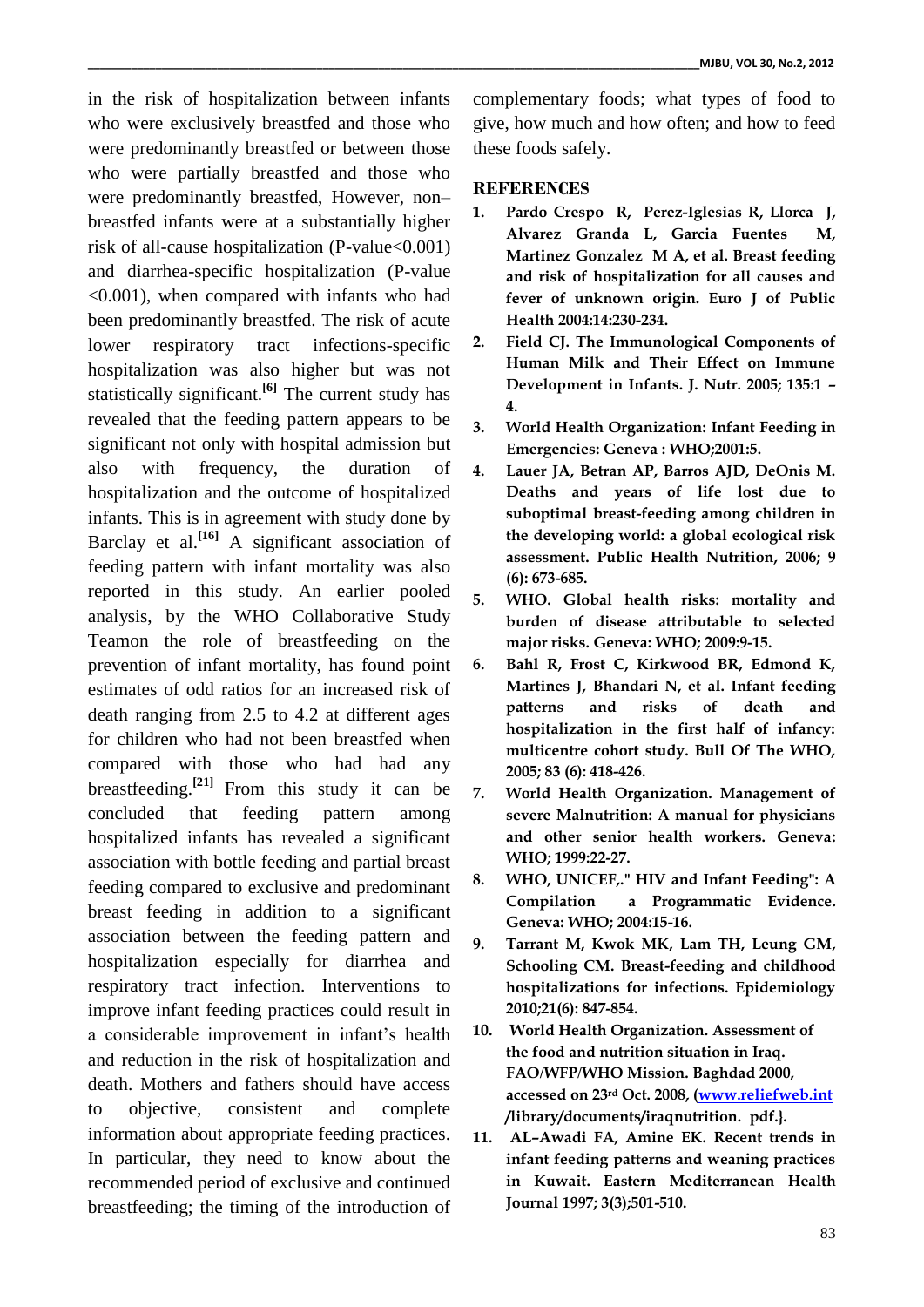in the risk of hospitalization between infants who were exclusively breastfed and those who were predominantly breastfed or between those who were partially breastfed and those who were predominantly breastfed, However, non– breastfed infants were at a substantially higher risk of all-cause hospitalization (P-value<0.001) and diarrhea-specific hospitalization (P-value <0.001), when compared with infants who had been predominantly breastfed. The risk of acute lower respiratory tract infections-specific hospitalization was also higher but was not statistically significant.**[6]** The current study has revealed that the feeding pattern appears to be significant not only with hospital admission but also with frequency, the duration of hospitalization and the outcome of hospitalized infants. This is in agreement with study done by Barclay et al.**[16]** A significant association of feeding pattern with infant mortality was also reported in this study. An earlier pooled analysis, by the WHO Collaborative Study Teamon the role of breastfeeding on the prevention of infant mortality, has found point estimates of odd ratios for an increased risk of death ranging from 2.5 to 4.2 at different ages for children who had not been breastfed when compared with those who had had any breastfeeding.<sup>[21]</sup> From this study it can be concluded that feeding pattern among hospitalized infants has revealed a significant association with bottle feeding and partial breast feeding compared to exclusive and predominant breast feeding in addition to a significant association between the feeding pattern and hospitalization especially for diarrhea and respiratory tract infection. Interventions to improve infant feeding practices could result in a considerable improvement in infant's health and reduction in the risk of hospitalization and death. Mothers and fathers should have access to objective, consistent and complete information about appropriate feeding practices. In particular, they need to know about the recommended period of exclusive and continued breastfeeding; the timing of the introduction of

complementary foods; what types of food to give, how much and how often; and how to feed these foods safely.

#### **REFERENCES**

- **1. Pardo Crespo R, Perez-Iglesias R, Llorca J, Alvarez Granda L, Garcia Fuentes M, Martinez Gonzalez M A, et al. Breast feeding and risk of hospitalization for all causes and fever of unknown origin. Euro J of Public Health 2004:14:230-234.**
- **2. Field CJ. The Immunological Components of Human Milk and Their Effect on Immune Development in Infants. J. Nutr. 2005; 135:1 – 4.**
- **3. World Health Organization: Infant Feeding in Emergencies: Geneva : WHO;2001:5.**
- **4. Lauer JA, Betran AP, Barros AJD, DeOnis M. Deaths and years of life lost due to suboptimal breast-feeding among children in the developing world: a global ecological risk assessment. Public Health Nutrition, 2006; 9 (6): 673-685.**
- **5. WHO. Global health risks: mortality and burden of disease attributable to selected major risks. Geneva: WHO; 2009:9-15.**
- **6. Bahl R, Frost C, Kirkwood BR, Edmond K, Martines J, Bhandari N, et al. Infant feeding patterns and risks of death and hospitalization in the first half of infancy: multicentre cohort study. Bull Of The WHO, 2005; 83 (6): 418-426.**
- **7. World Health Organization. Management of severe Malnutrition: A manual for physicians and other senior health workers. Geneva: WHO; 1999:22-27.**
- **8. WHO, UNICEF,." HIV and Infant Feeding": A Compilation a Programmatic Evidence. Geneva: WHO; 2004:15-16.**
- **9. [Tarrant M,](http://www.ncbi.nlm.nih.gov/pubmed?term=Tarrant%20M%5BAuthor%5D&cauthor=true&cauthor_uid=20864890) [Kwok MK,](http://www.ncbi.nlm.nih.gov/pubmed?term=Kwok%20MK%5BAuthor%5D&cauthor=true&cauthor_uid=20864890) [Lam TH,](http://www.ncbi.nlm.nih.gov/pubmed?term=Lam%20TH%5BAuthor%5D&cauthor=true&cauthor_uid=20864890) [Leung GM,](http://www.ncbi.nlm.nih.gov/pubmed?term=Leung%20GM%5BAuthor%5D&cauthor=true&cauthor_uid=20864890) [Schooling CM.](http://www.ncbi.nlm.nih.gov/pubmed?term=Schooling%20CM%5BAuthor%5D&cauthor=true&cauthor_uid=20864890) Breast-feeding and childhood hospitalizations for infections. Epidemiology 2010;21(6): 847-854.**
- **10. World Health Organization. Assessment of the food and nutrition situation in Iraq. FAO/WFP/WHO Mission. Baghdad 2000, accessed on 23rd Oct. 2008, [\(www.reliefweb.int](http://www.reliefweb.int/) /library/documents/iraqnutrition. pdf.}.**
- **11. AL–Awadi FA, Amine EK. Recent trends in infant feeding patterns and weaning practices in Kuwait. Eastern Mediterranean Health Journal 1997; 3(3);501-510.**